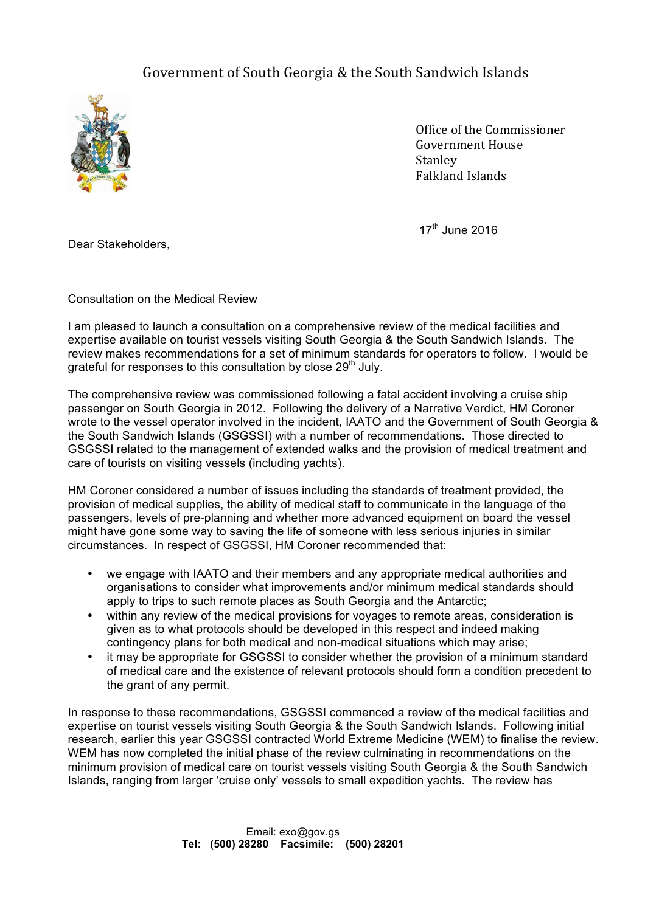## Government of South Georgia & the South Sandwich Islands



Office of the Commissioner Government House Stanley Falkland Islands

 $17<sup>th</sup>$  June 2016

Dear Stakeholders,

## Consultation on the Medical Review

I am pleased to launch a consultation on a comprehensive review of the medical facilities and expertise available on tourist vessels visiting South Georgia & the South Sandwich Islands. The review makes recommendations for a set of minimum standards for operators to follow. I would be grateful for responses to this consultation by close 29<sup>th</sup> July.

The comprehensive review was commissioned following a fatal accident involving a cruise ship passenger on South Georgia in 2012. Following the delivery of a Narrative Verdict, HM Coroner wrote to the vessel operator involved in the incident, IAATO and the Government of South Georgia & the South Sandwich Islands (GSGSSI) with a number of recommendations. Those directed to GSGSSI related to the management of extended walks and the provision of medical treatment and care of tourists on visiting vessels (including yachts).

HM Coroner considered a number of issues including the standards of treatment provided, the provision of medical supplies, the ability of medical staff to communicate in the language of the passengers, levels of pre-planning and whether more advanced equipment on board the vessel might have gone some way to saving the life of someone with less serious injuries in similar circumstances. In respect of GSGSSI, HM Coroner recommended that:

- we engage with IAATO and their members and any appropriate medical authorities and organisations to consider what improvements and/or minimum medical standards should apply to trips to such remote places as South Georgia and the Antarctic;
- within any review of the medical provisions for voyages to remote areas, consideration is given as to what protocols should be developed in this respect and indeed making contingency plans for both medical and non-medical situations which may arise;
- it may be appropriate for GSGSSI to consider whether the provision of a minimum standard of medical care and the existence of relevant protocols should form a condition precedent to the grant of any permit.

In response to these recommendations, GSGSSI commenced a review of the medical facilities and expertise on tourist vessels visiting South Georgia & the South Sandwich Islands. Following initial research, earlier this year GSGSSI contracted World Extreme Medicine (WEM) to finalise the review. WEM has now completed the initial phase of the review culminating in recommendations on the minimum provision of medical care on tourist vessels visiting South Georgia & the South Sandwich Islands, ranging from larger 'cruise only' vessels to small expedition yachts. The review has